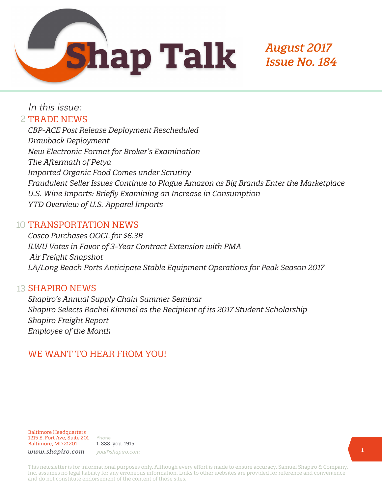

# *August 2017 Issue No. 184*

In this issue:

# 2 TRADE NEWS

*CBP-ACE Post Release Deployment Rescheduled Drawback Deployment New Electronic Format for Broker's Examination The Aftermath of Petya Imported Organic Food Comes under Scrutiny Fraudulent Seller Issues Continue to Plague Amazon as Big Brands Enter the Marketplace U.S. Wine Imports: Briefly Examining an Increase in Consumption YTD Overview of U.S. Apparel Imports*

# 10 TRANSPORTATION NEWS

*Cosco Purchases OOCL for \$6.3B ILWU Votes in Favor of 3-Year Contract Extension with PMA Air Freight Snapshot LA/Long Beach Ports Anticipate Stable Equipment Operations for Peak Season 2017*

# 13 **SHAPIRO NEWS**

*Shapiro's Annual Supply Chain Summer Seminar Shapiro Selects Rachel Kimmel as the Recipient of its 2017 Student Scholarship Shapiro Freight Report Employee of the Month*

# WE WANT TO HEAR FROM YOU!

Baltimore Headquarters 1215 E. Fort Ave, Suite 201 Baltimore, MD 21201

Phone 1-888-you-1915 *www.shapiro.com you@shapiro.com*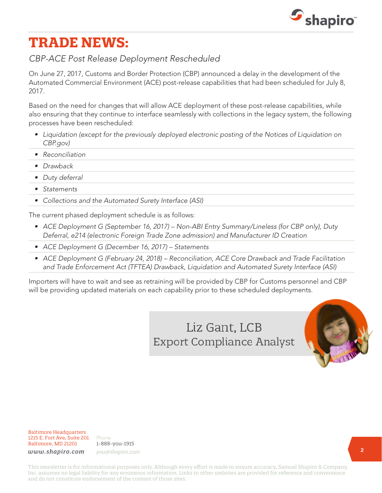

# **TRADE NEWS:**

## *CBP-ACE Post Release Deployment Rescheduled*

On June 27, 2017, Customs and Border Protection (CBP) announced a delay in the development of the Automated Commercial Environment (ACE) post-release capabilities that had been scheduled for July 8, 2017.

Based on the need for changes that will allow ACE deployment of these post-release capabilities, while also ensuring that they continue to interface seamlessly with collections in the legacy system, the following processes have been rescheduled:

- *• Liquidation (except for the previously deployed electronic posting of the Notices of Liquidation on CBP.gov)*
- *• Reconciliation*
- *• Drawback*
- *• Duty deferral*
- *• Statements*
- *• Collections and the Automated Surety Interface (ASI)*

The current phased deployment schedule is as follows:

- *• ACE Deployment G (September 16, 2017) Non-ABI Entry Summary/Lineless (for CBP only), Duty Deferral, e214 (electronic Foreign Trade Zone admission) and Manufacturer ID Creation*
- *• ACE Deployment G (December 16, 2017) Statements*
- *• ACE Deployment G (February 24, 2018) Reconciliation, ACE Core Drawback and Trade Facilitation and Trade Enforcement Act (TFTEA) Drawback, Liquidation and Automated Surety Interface (ASI)*

Importers will have to wait and see as retraining will be provided by CBP for Customs personnel and CBP will be providing updated materials on each capability prior to these scheduled deployments.

> Liz Gant, LCB **Export Compliance Analyst**



Baltimore Headquarters 1215 E. Fort Ave, Suite 201 Baltimore, MD 21201

Phone 1-888-you-1915 *www.shapiro.com you@shapiro.com*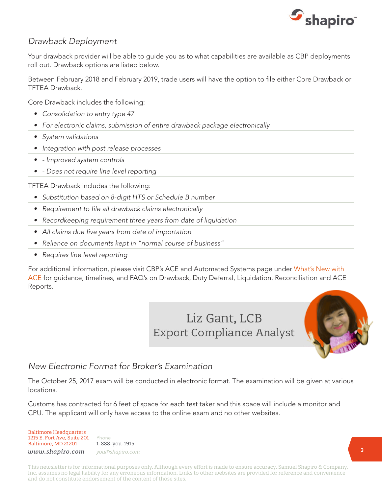

### *Drawback Deployment*

Your drawback provider will be able to guide you as to what capabilities are available as CBP deployments roll out. Drawback options are listed below.

Between February 2018 and February 2019, trade users will have the option to file either Core Drawback or TFTEA Drawback.

Core Drawback includes the following:

- *• Consolidation to entry type 47*
- *• For electronic claims, submission of entire drawback package electronically*
- *• System validations*
- *• Integration with post release processes*
- *• Improved system controls*
- *• Does not require line level reporting*

TFTEA Drawback includes the following:

- *• Substitution based on 8-digit HTS or Schedule B number*
- *• Requirement to file all drawback claims electronically*
- *• Recordkeeping requirement three years from date of liquidation*
- *• All claims due five years from date of importation*
- *• Reliance on documents kept in "normal course of business"*
- *• Requires line level reporting*

For additional information, please visit CBP's ACE and Automated Systems page under What's New with [ACE](https://www.cbp.gov/trade/automated) for guidance, timelines, and FAQ's on Drawback, Duty Deferral, Liquidation, Reconciliation and ACE Reports.

> Liz Gant, LCB **Export Compliance Analyst**



## *New Electronic Format for Broker's Examination*

The October 25, 2017 exam will be conducted in electronic format. The examination will be given at various locations.

Customs has contracted for 6 feet of space for each test taker and this space will include a monitor and CPU. The applicant will only have access to the online exam and no other websites.

#### Baltimore Headquarters 1215 E. Fort Ave, Suite 201 Baltimore, MD 21201

Phone 1-888-you-1915 *www.shapiro.com you@shapiro.com*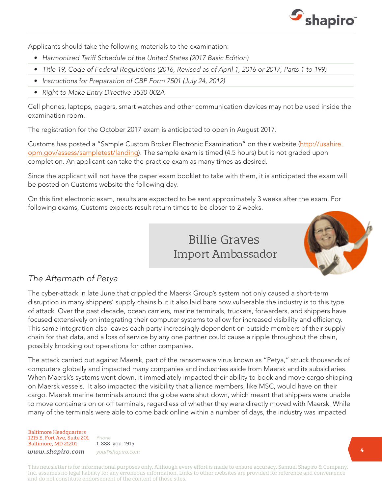

Applicants should take the following materials to the examination:

- *• Harmonized Tariff Schedule of the United States (2017 Basic Edition)*
- *• Title 19, Code of Federal Regulations (2016, Revised as of April 1, 2016 or 2017, Parts 1 to 199)*
- *• Instructions for Preparation of CBP Form 7501 (July 24, 2012)*
- *• Right to Make Entry Directive 3530-002A*

Cell phones, laptops, pagers, smart watches and other communication devices may not be used inside the examination room.

The registration for the October 2017 exam is anticipated to open in August 2017.

Customs has posted a "Sample Custom Broker Electronic Examination" on their website ([http://usahire.](http://usahire.opm.gov/assess/sampletest/landing) [opm.gov/assess/sampletest/landing\)](http://usahire.opm.gov/assess/sampletest/landing). The sample exam is timed (4.5 hours) but is not graded upon completion. An applicant can take the practice exam as many times as desired.

Since the applicant will not have the paper exam booklet to take with them, it is anticipated the exam will be posted on Customs website the following day.

On this first electronic exam, results are expected to be sent approximately 3 weeks after the exam. For following exams, Customs expects result return times to be closer to 2 weeks.

# **Billie Graves Import Ambassador**



# *The Aftermath of Petya*

The cyber-attack in late June that crippled the Maersk Group's system not only caused a short-term disruption in many shippers' supply chains but it also laid bare how vulnerable the industry is to this type of attack. Over the past decade, ocean carriers, marine terminals, truckers, forwarders, and shippers have focused extensively on integrating their computer systems to allow for increased visibility and efficiency. This same integration also leaves each party increasingly dependent on outside members of their supply chain for that data, and a loss of service by any one partner could cause a ripple throughout the chain, possibly knocking out operations for other companies.

The attack carried out against Maersk, part of the ransomware virus known as "Petya," struck thousands of computers globally and impacted many companies and industries aside from Maersk and its subsidiaries. When Maersk's systems went down, it immediately impacted their ability to book and move cargo shipping on Maersk vessels. It also impacted the visibility that alliance members, like MSC, would have on their cargo. Maersk marine terminals around the globe were shut down, which meant that shippers were unable to move containers on or off terminals, regardless of whether they were directly moved with Maersk. While many of the terminals were able to come back online within a number of days, the industry was impacted

Baltimore Headquarters 1215 E. Fort Ave, Suite 201 Baltimore, MD 21201

Phone 1-888-you-1915 *www.shapiro.com you@shapiro.com*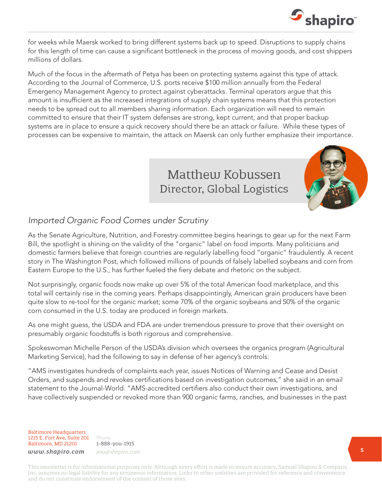

for weeks while Maersk worked to bring different systems back up to speed. Disruptions to supply chains for this length of time can cause a significant bottleneck in the process of moving goods, and cost shippers millions of dollars.

Much of the focus in the aftermath of Petya has been on protecting systems against this type of attack. According to the Journal of Commerce, U.S. ports receive \$100 million annually from the Federal Emergency Management Agency to protect against cyberattacks. Terminal operators argue that this amount is insufficient as the increased integrations of supply chain systems means that this protection needs to be spread out to all members sharing information. Each organization will need to remain committed to ensure that their IT system defenses are strong, kept current, and that proper backup systems are in place to ensure a quick recovery should there be an attack or failure. While these types of processes can be expensive to maintain, the attack on Maersk can only further emphasize their importance.

# Matthew Kobussen Director, Global Logistics



# *Imported Organic Food Comes under Scrutiny*

As the Senate Agriculture, Nutrition, and Forestry committee begins hearings to gear up for the next Farm Bill, the spotlight is shining on the validity of the "organic" label on food imports. Many politicians and domestic farmers believe that foreign countries are regularly labelling food "organic" fraudulently. A recent story in The Washington Post, which followed millions of pounds of falsely labelled soybeans and corn from Eastern Europe to the U.S., has further fueled the fiery debate and rhetoric on the subject.

Not surprisingly, organic foods now make up over 5% of the total American food marketplace, and this total will certainly rise in the coming years. Perhaps disappointingly, American grain producers have been quite slow to re-tool for the organic market; some 70% of the organic soybeans and 50% of the organic corn consumed in the U.S. today are produced in foreign markets.

As one might guess, the USDA and FDA are under tremendous pressure to prove that their oversight on presumably organic foodstuffs is both rigorous and comprehensive.

Spokeswoman Michelle Person of the USDA's division which oversees the organics program (Agricultural Marketing Service), had the following to say in defense of her agency's controls:

"AMS investigates hundreds of complaints each year, issues Notices of Warning and Cease and Desist Orders, and suspends and revokes certifications based on investigation outcomes," she said in an email statement to the Journal-World. "AMS-accredited certifiers also conduct their own investigations, and have collectively suspended or revoked more than 900 organic farms, ranches, and businesses in the past

Baltimore Headquarters 1215 E. Fort Ave, Suite 201 Baltimore, MD 21201

Phone 1-888-you-1915 *www.shapiro.com you@shapiro.com*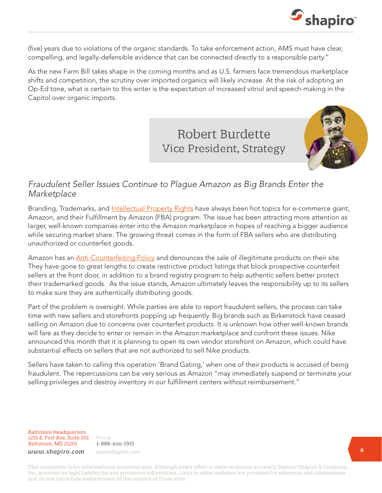

(five) years due to violations of the organic standards. To take enforcement action, AMS must have clear, compelling, and legally-defensible evidence that can be connected directly to a responsible party."

As the new Farm Bill takes shape in the coming months and as U.S. farmers face tremendous marketplace shifts and competition, the scrutiny over imported organics will likely increase. At the risk of adopting an Op-Ed tone, what is certain to this writer is the expectation of increased vitriol and speech-making in the Capitol over organic imports.

# **Robert Burdette** Vice President, Strategy



## *Fraudulent Seller Issues Continue to Plague Amazon as Big Brands Enter the Marketplace*

Branding, Trademarks, and *Intellectual Property Rights* have always been hot topics for e-commerce giant, Amazon, and their Fulfillment by Amazon (FBA) program. The issue has been attracting more attention as larger, well-known companies enter into the Amazon marketplace in hopes of reaching a bigger audience while securing market share. The growing threat comes in the form of FBA sellers who are distributing unauthorized or counterfeit goods.

Amazon has an [Anti-Counterfeiting Policy](https://www.amazon.com/gp/help/customer/display.html?ie=UTF8&nodeId=201166010) and denounces the sale of illegitimate products on their site. They have gone to great lengths to create restrictive product listings that block prospective counterfeit sellers at the front door, in addition to a brand registry program to help authentic sellers better protect their trademarked goods. As the issue stands, Amazon ultimately leaves the responsibility up to its sellers to make sure they are authentically distributing goods.

Part of the problem is oversight. While parties are able to report fraudulent sellers, the process can take time with new sellers and storefronts popping up frequently. Big brands such as Birkenstock have ceased selling on Amazon due to concerns over counterfeit products. It is unknown how other well-known brands will fare as they decide to enter or remain in the Amazon marketplace and confront these issues. Nike announced this month that it is planning to open its own vendor storefront on Amazon, which could have substantial effects on sellers that are not authorized to sell Nike products.

Sellers have taken to calling this operation 'Brand Gating,' when one of their products is accused of being fraudulent. The repercussions can be very serious as Amazon "may immediately suspend or terminate your selling privileges and destroy inventory in our fulfillment centers without reimbursement."

Baltimore Headquarters 1215 E. Fort Ave, Suite 201 Baltimore, MD 21201

Phone 1-888-you-1915 *www.shapiro.com you@shapiro.com*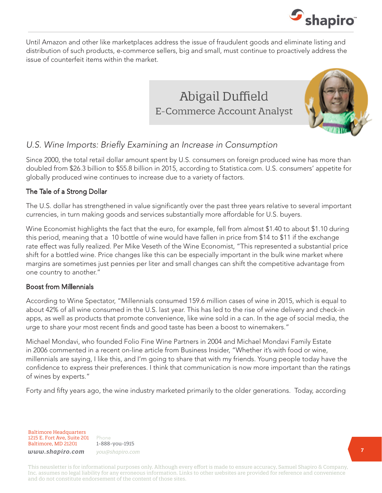

Until Amazon and other like marketplaces address the issue of fraudulent goods and eliminate listing and distribution of such products, e-commerce sellers, big and small, must continue to proactively address the issue of counterfeit items within the market.





# *U.S. Wine Imports: Briefly Examining an Increase in Consumption*

Since 2000, the total retail dollar amount spent by U.S. consumers on foreign produced wine has more than doubled from \$26.3 billion to \$55.8 billion in 2015, according to Statistica.com. U.S. consumers' appetite for globally produced wine continues to increase due to a variety of factors.

#### The Tale of a Strong Dollar

The U.S. dollar has strengthened in value significantly over the past three years relative to several important currencies, in turn making goods and services substantially more affordable for U.S. buyers.

Wine Economist highlights the fact that the euro, for example, fell from almost \$1.40 to about \$1.10 during this period, meaning that a €0 bottle of wine would have fallen in price from \$14 to \$11 if the exchange rate effect was fully realized. Per Mike Veseth of the Wine Economist, "This represented a substantial price shift for a bottled wine. Price changes like this can be especially important in the bulk wine market where margins are sometimes just pennies per liter and small changes can shift the competitive advantage from one country to another."

#### Boost from Millennials

According to Wine Spectator, "Millennials consumed 159.6 million cases of wine in 2015, which is equal to about 42% of all wine consumed in the U.S. last year. This has led to the rise of wine delivery and check-in apps, as well as products that promote convenience, like wine sold in a can. In the age of social media, the urge to share your most recent finds and good taste has been a boost to winemakers."

Michael Mondavi, who founded Folio Fine Wine Partners in 2004 and Michael Mondavi Family Estate in 2006 commented in a recent on-line article from Business Insider, "Whether it's with food or wine, millennials are saying, I like this, and I'm going to share that with my friends. Young people today have the confidence to express their preferences. I think that communication is now more important than the ratings of wines by experts."

Forty and fifty years ago, the wine industry marketed primarily to the older generations. Today, according

Baltimore Headquarters 1215 E. Fort Ave, Suite 201 Baltimore, MD 21201 *www.shapiro.com you@shapiro.com*

Phone 1-888-you-1915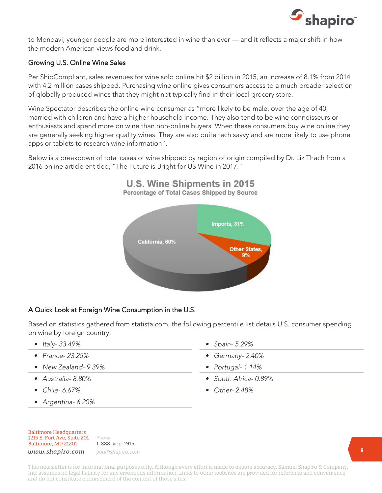

to Mondavi, younger people are more interested in wine than ever — and it reflects a major shift in how the modern American views food and drink.

#### Growing U.S. Online Wine Sales

Per ShipCompliant, sales revenues for wine sold online hit \$2 billion in 2015, an increase of 8.1% from 2014 with 4.2 million cases shipped. Purchasing wine online gives consumers access to a much broader selection of globally produced wines that they might not typically find in their local grocery store.

Wine Spectator describes the online wine consumer as "more likely to be male, over the age of 40, married with children and have a higher household income. They also tend to be wine connoisseurs or enthusiasts and spend more on wine than non-online buyers. When these consumers buy wine online they are generally seeking higher quality wines. They are also quite tech savvy and are more likely to use phone apps or tablets to research wine information".

Below is a breakdown of total cases of wine shipped by region of origin compiled by Dr. Liz Thach from a 2016 online article entitled, "The Future is Bright for US Wine in 2017."



#### A Quick Look at Foreign Wine Consumption in the U.S.

Based on statistics gathered from statista.com, the following percentile list details U.S. consumer spending on wine by foreign country:

- *• Italy- 33.49%*
- *• France- 23.25%*
- *• New Zealand- 9.39%*
- *• Australia- 8.80%*
- *• Chile- 6.67%*
- *• Argentina- 6.20%*
- *• Spain- 5.29%*
- *• Germany- 2.40%*
- *• Portugal- 1.14%*
- *• South Africa- 0.89%*
- *• Other- 2.48%*

Baltimore Headquarters 1215 E. Fort Ave, Suite 201 Baltimore, MD 21201

Phone 1-888-you-1915 *www.shapiro.com you@shapiro.com*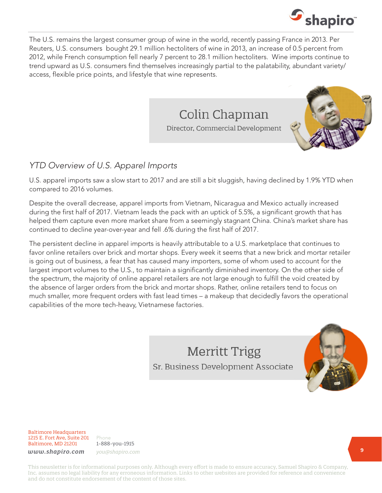

The U.S. remains the largest consumer group of wine in the world, recently passing France in 2013. Per Reuters, U.S. consumers  $\bigoplus$  ought 29.1 million hectoliters of wine in 2013, an increase of 0.5 percent from 2012, while French consumption fell nearly 7 percent to 28.1 million hectoliters. Wine imports continue to trend upward as U.S. consumers find themselves increasingly partial to the palatability, abundant variety/ access, flexible price points, and lifestyle that wine represents.

> Colin Chapman Director, Commercial Development



# *YTD Overview of U.S. Apparel Imports*

U.S. apparel imports saw a slow start to 2017 and are still a bit sluggish, having declined by 1.9% YTD when compared to 2016 volumes.

Despite the overall decrease, apparel imports from Vietnam, Nicaragua and Mexico actually increased during the first half of 2017. Vietnam leads the pack with an uptick of 5.5%, a significant growth that has helped them capture even more market share from a seemingly stagnant China. China's market share has continued to decline year-over-year and fell .6% during the first half of 2017.

The persistent decline in apparel imports is heavily attributable to a U.S. marketplace that continues to favor online retailers over brick and mortar shops. Every week it seems that a new brick and mortar retailer is going out of business, a fear that has caused many importers, some of whom used to account for the largest import volumes to the U.S., to maintain a significantly diminished inventory. On the other side of the spectrum, the majority of online apparel retailers are not large enough to fulfill the void created by the absence of larger orders from the brick and mortar shops. Rather, online retailers tend to focus on much smaller, more frequent orders with fast lead times – a makeup that decidedly favors the operational capabilities of the more tech-heavy, Vietnamese factories.

> **Merritt Trigg** Sr. Business Development Associate



Baltimore Headquarters 1215 E. Fort Ave, Suite 201 Baltimore, MD 21201

Phone 1-888-you-1915 *www.shapiro.com you@shapiro.com*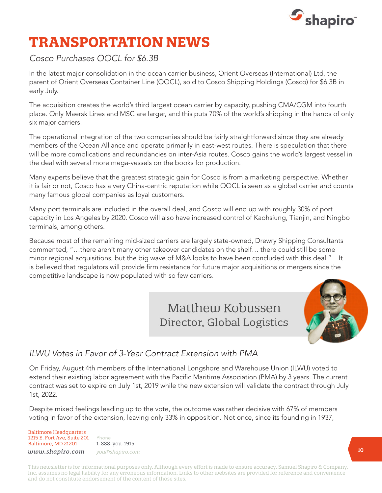

# **TRANSPORTATION NEWS**

*Cosco Purchases OOCL for \$6.3B*

In the latest major consolidation in the ocean carrier business, Orient Overseas (International) Ltd, the parent of Orient Overseas Container Line (OOCL), sold to Cosco Shipping Holdings (Cosco) for \$6.3B in early July.

The acquisition creates the world's third largest ocean carrier by capacity, pushing CMA/CGM into fourth place. Only Maersk Lines and MSC are larger, and this puts 70% of the world's shipping in the hands of only six major carriers.

The operational integration of the two companies should be fairly straightforward since they are already members of the Ocean Alliance and operate primarily in east-west routes. There is speculation that there will be more complications and redundancies on inter-Asia routes. Cosco gains the world's largest vessel in the deal with several more mega-vessels on the books for production.

Many experts believe that the greatest strategic gain for Cosco is from a marketing perspective. Whether it is fair or not, Cosco has a very China-centric reputation while OOCL is seen as a global carrier and counts many famous global companies as loyal customers.

Many port terminals are included in the overall deal, and Cosco will end up with roughly 30% of port capacity in Los Angeles by 2020. Cosco will also have increased control of Kaohsiung, Tianjin, and Ningbo terminals, among others.

Because most of the remaining mid-sized carriers are largely state-owned, Drewry Shipping Consultants commented, "…there aren't many other takeover candidates on the shelf… there could still be some minor regional acquisitions, but the big wave of M&A looks to have been concluded with this deal." It is believed that regulators will provide firm resistance for future major acquisitions or mergers since the competitive landscape is now populated with so few carriers.

> Matthew Kobussen Director, Global Logistics



# *ILWU Votes in Favor of 3-Year Contract Extension with PMA*

On Friday, August 4th members of the International Longshore and Warehouse Union (ILWU) voted to extend their existing labor agreement with the Pacific Maritime Association (PMA) by 3 years. The current contract was set to expire on July 1st, 2019 while the new extension will validate the contract through July 1st, 2022.

Despite mixed feelings leading up to the vote, the outcome was rather decisive with 67% of members voting in favor of the extension, leaving only 33% in opposition. Not once, since its founding in 1937,

Baltimore Headquarters 1215 E. Fort Ave, Suite 201 Baltimore, MD 21201

Phone 1-888-you-1915 *www.shapiro.com you@shapiro.com*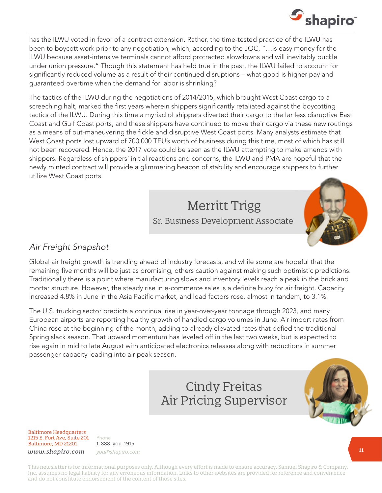

has the ILWU voted in favor of a contract extension. Rather, the time-tested practice of the ILWU has been to boycott work prior to any negotiation, which, according to the JOC, "…is easy money for the ILWU because asset-intensive terminals cannot afford protracted slowdowns and will inevitably buckle under union pressure." Though this statement has held true in the past, the ILWU failed to account for significantly reduced volume as a result of their continued disruptions – what good is higher pay and guaranteed overtime when the demand for labor is shrinking?

The tactics of the ILWU during the negotiations of 2014/2015, which brought West Coast cargo to a screeching halt, marked the first years wherein shippers significantly retaliated against the boycotting tactics of the ILWU. During this time a myriad of shippers diverted their cargo to the far less disruptive East Coast and Gulf Coast ports, and these shippers have continued to move their cargo via these new routings as a means of out-maneuvering the fickle and disruptive West Coast ports. Many analysts estimate that West Coast ports lost upward of 700,000 TEU's worth of business during this time, most of which has still not been recovered. Hence, the 2017 vote could be seen as the ILWU attempting to make amends with shippers. Regardless of shippers' initial reactions and concerns, the ILWU and PMA are hopeful that the newly minted contract will provide a glimmering beacon of stability and encourage shippers to further utilize West Coast ports.

> Merritt Trigg Sr. Business Development Associate



## *Air Freight Snapshot*

Global air freight growth is trending ahead of industry forecasts, and while some are hopeful that the remaining five months will be just as promising, others caution against making such optimistic predictions. Traditionally there is a point where manufacturing slows and inventory levels reach a peak in the brick and mortar structure. However, the steady rise in e-commerce sales is a definite buoy for air freight. Capacity increased 4.8% in June in the Asia Pacific market, and load factors rose, almost in tandem, to 3.1%.

The U.S. trucking sector predicts a continual rise in year-over-year tonnage through 2023, and many European airports are reporting healthy growth of handled cargo volumes in June. Air import rates from China rose at the beginning of the month, adding to already elevated rates that defied the traditional Spring slack season. That upward momentum has leveled off in the last two weeks, but is expected to rise again in mid to late August with anticipated electronics releases along with reductions in summer passenger capacity leading into air peak season.

> **Cindy Freitas Air Pricing Supervisor**



Baltimore Headquarters 1215 E. Fort Ave, Suite 201 Baltimore, MD 21201

Phone 1-888-you-1915 *www.shapiro.com you@shapiro.com*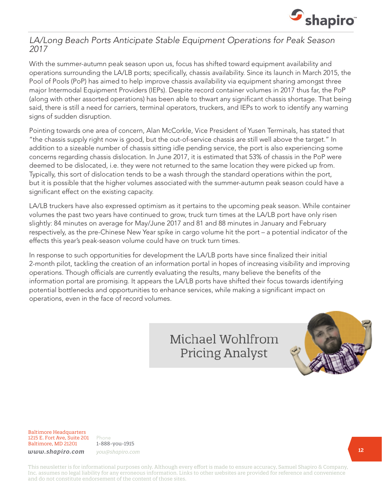

### *LA/Long Beach Ports Anticipate Stable Equipment Operations for Peak Season 2017*

With the summer-autumn peak season upon us, focus has shifted toward equipment availability and operations surrounding the LA/LB ports; specifically, chassis availability. Since its launch in March 2015, the Pool of Pools (PoP) has aimed to help improve chassis availability via equipment sharing amongst three major Intermodal Equipment Providers (IEPs). Despite record container volumes in 2017 thus far, the PoP (along with other assorted operations) has been able to thwart any significant chassis shortage. That being said, there is still a need for carriers, terminal operators, truckers, and IEPs to work to identify any warning signs of sudden disruption.

Pointing towards one area of concern, Alan McCorkle, Vice President of Yusen Terminals, has stated that "the chassis supply right now is good, but the out-of-service chassis are still well above the target." In addition to a sizeable number of chassis sitting idle pending service, the port is also experiencing some concerns regarding chassis dislocation. In June 2017, it is estimated that 53% of chassis in the PoP were deemed to be dislocated, i.e. they were not returned to the same location they were picked up from. Typically, this sort of dislocation tends to be a wash through the standard operations within the port, but it is possible that the higher volumes associated with the summer-autumn peak season could have a significant effect on the existing capacity.

LA/LB truckers have also expressed optimism as it pertains to the upcoming peak season. While container volumes the past two years have continued to grow, truck turn times at the LA/LB port have only risen slightly: 84 minutes on average for May/June 2017 and 81 and 88 minutes in January and February respectively, as the pre-Chinese New Year spike in cargo volume hit the port – a potential indicator of the effects this year's peak-season volume could have on truck turn times.

In response to such opportunities for development the LA/LB ports have since finalized their initial 2-month pilot, tackling the creation of an information portal in hopes of increasing visibility and improving operations. Though officials are currently evaluating the results, many believe the benefits of the information portal are promising. It appears the LA/LB ports have shifted their focus towards identifying potential bottlenecks and opportunities to enhance services, while making a significant impact on operations, even in the face of record volumes.

# Michael Wohlfrom **Pricing Analyst**



Baltimore Headquarters 1215 E. Fort Ave, Suite 201 Baltimore, MD 21201

Phone 1-888-you-1915 *www.shapiro.com you@shapiro.com*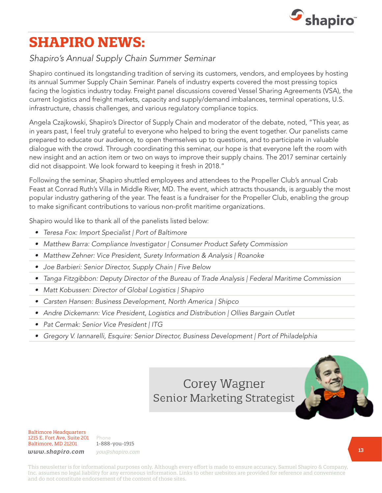

# **SHAPIRO NEWS:**

## *Shapiro's Annual Supply Chain Summer Seminar*

Shapiro continued its longstanding tradition of serving its customers, vendors, and employees by hosting its annual Summer Supply Chain Seminar. Panels of industry experts covered the most pressing topics facing the logistics industry today. Freight panel discussions covered Vessel Sharing Agreements (VSA), the current logistics and freight markets, capacity and supply/demand imbalances, terminal operations, U.S. infrastructure, chassis challenges, and various regulatory compliance topics.

Angela Czajkowski, Shapiro's Director of Supply Chain and moderator of the debate, noted, "This year, as in years past, I feel truly grateful to everyone who helped to bring the event together. Our panelists came prepared to educate our audience, to open themselves up to questions, and to participate in valuable dialogue with the crowd. Through coordinating this seminar, our hope is that everyone left the room with new insight and an action item or two on ways to improve their supply chains. The 2017 seminar certainly did not disappoint. We look forward to keeping it fresh in 2018."

Following the seminar, Shapiro shuttled employees and attendees to the Propeller Club's annual Crab Feast at Conrad Ruth's Villa in Middle River, MD. The event, which attracts thousands, is arguably the most popular industry gathering of the year. The feast is a fundraiser for the Propeller Club, enabling the group to make significant contributions to various non-profit maritime organizations.

Shapiro would like to thank all of the panelists listed below:

- *• Teresa Fox: Import Specialist | Port of Baltimore*
- *• Matthew Barra: Compliance Investigator | Consumer Product Safety Commission*
- *• Matthew Zehner: Vice President, Surety Information & Analysis | Roanoke*
- *• Joe Barbieri: Senior Director, Supply Chain | Five Below*
- *• Tanga Fitzgibbon: Deputy Director of the Bureau of Trade Analysis | Federal Maritime Commission*
- *• Matt Kobussen: Director of Global Logistics | Shapiro*
- *• Carsten Hansen: Business Development, North America | Shipco*
- *• Andre Dickemann: Vice President, Logistics and Distribution | Ollies Bargain Outlet*
- *• Pat Cermak: Senior Vice President | ITG*
- *• Gregory V. Iannarelli, Esquire: Senior Director, Business Development | Port of Philadelphia*

# Corey Wagner **Senior Marketing Strategist**



Baltimore Headquarters 1215 E. Fort Ave, Suite 201 Baltimore, MD 21201

Phone 1-888-you-1915 *www.shapiro.com you@shapiro.com*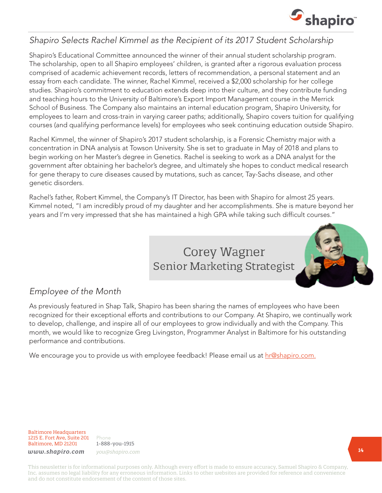

## *Shapiro Selects Rachel Kimmel as the Recipient of its 2017 Student Scholarship*

Shapiro's Educational Committee announced the winner of their annual student scholarship program. The scholarship, open to all Shapiro employees' children, is granted after a rigorous evaluation process comprised of academic achievement records, letters of recommendation, a personal statement and an essay from each candidate. The winner, Rachel Kimmel, received a \$2,000 scholarship for her college studies. Shapiro's commitment to education extends deep into their culture, and they contribute funding and teaching hours to the University of Baltimore's Export Import Management course in the Merrick School of Business. The Company also maintains an internal education program, Shapiro University, for employees to learn and cross-train in varying career paths; additionally, Shapiro covers tuition for qualifying courses (and qualifying performance levels) for employees who seek continuing education outside Shapiro.

Rachel Kimmel, the winner of Shapiro's 2017 student scholarship, is a Forensic Chemistry major with a concentration in DNA analysis at Towson University. She is set to graduate in May of 2018 and plans to begin working on her Master's degree in Genetics. Rachel is seeking to work as a DNA analyst for the government after obtaining her bachelor's degree, and ultimately she hopes to conduct medical research for gene therapy to cure diseases caused by mutations, such as cancer, Tay-Sachs disease, and other genetic disorders.

Rachel's father, Robert Kimmel, the Company's IT Director, has been with Shapiro for almost 25 years. Kimmel noted, "I am incredibly proud of my daughter and her accomplishments. She is mature beyond her years and I'm very impressed that she has maintained a high GPA while taking such difficult courses."

# Corey Wagner **Senior Marketing Strategist**



# *Employee of the Month*

As previously featured in Shap Talk, Shapiro has been sharing the names of employees who have been recognized for their exceptional efforts and contributions to our Company. At Shapiro, we continually work to develop, challenge, and inspire all of our employees to grow individually and with the Company. This month, we would like to recognize Greg Livingston, Programmer Analyst in Baltimore for his outstanding performance and contributions.

We encourage you to provide us with employee feedback! Please email us at [hr@shapiro.com.](mailto:hr@shapiro.com)

Baltimore Headquarters 1215 E. Fort Ave, Suite 201 Baltimore, MD 21201

Phone 1-888-you-1915 *www.shapiro.com you@shapiro.com*